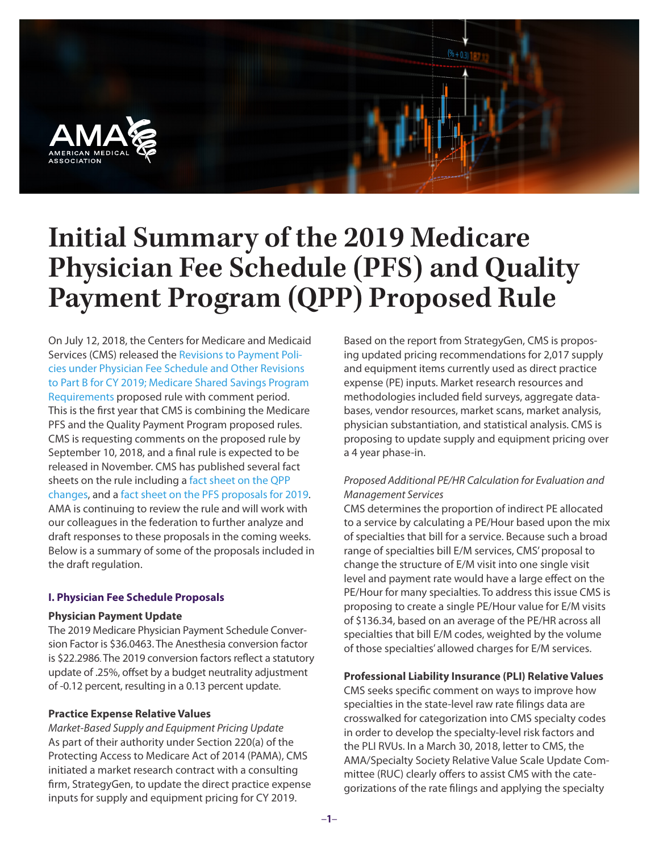

# **Initial Summary of the 2019 Medicare Physician Fee Schedule (PFS) and Quality Payment Program (QPP) Proposed Rule**

On July 12, 2018, the Centers for Medicare and Medicaid Services (CMS) released the [Revisions to Payment Poli](https://s3.amazonaws.com/public-inspection.federalregister.gov/2018-14985.pdf)[cies under Physician Fee Schedule and Other Revisions](https://s3.amazonaws.com/public-inspection.federalregister.gov/2018-14985.pdf)  [to Part B for CY 2019; Medicare Shared Savings Program](https://s3.amazonaws.com/public-inspection.federalregister.gov/2018-14985.pdf)  [Requirements](https://s3.amazonaws.com/public-inspection.federalregister.gov/2018-14985.pdf) proposed rule with comment period. This is the first year that CMS is combining the Medicare PFS and the Quality Payment Program proposed rules. CMS is requesting comments on the proposed rule by September 10, 2018, and a final rule is expected to be released in November. CMS has published several fact sheets on the rule including a [fact sheet on the QPP](https://www.cms.gov/Medicare/Quality-Payment-Program/Resource-Library/2019-QPP-proposed-rule-fact-sheet.pdf)  [changes,](https://www.cms.gov/Medicare/Quality-Payment-Program/Resource-Library/2019-QPP-proposed-rule-fact-sheet.pdf) and a [fact sheet on the PFS proposals for 2019.](https://www.cms.gov/Newsroom/MediaReleaseDatabase/Fact-sheets/2018-Fact-sheets-items/2018-07-12-2.html) AMA is continuing to review the rule and will work with our colleagues in the federation to further analyze and draft responses to these proposals in the coming weeks. Below is a summary of some of the proposals included in the draft regulation.

#### **I. Physician Fee Schedule Proposals**

#### **Physician Payment Update**

The 2019 Medicare Physician Payment Schedule Conversion Factor is \$36.0463. The Anesthesia conversion factor is \$22.2986. The 2019 conversion factors reflect a statutory update of .25%, offset by a budget neutrality adjustment of -0.12 percent, resulting in a 0.13 percent update.

#### **Practice Expense Relative Values**

*Market-Based Supply and Equipment Pricing Update* As part of their authority under Section 220(a) of the Protecting Access to Medicare Act of 2014 (PAMA), CMS initiated a market research contract with a consulting firm, StrategyGen, to update the direct practice expense inputs for supply and equipment pricing for CY 2019.

Based on the report from StrategyGen, CMS is proposing updated pricing recommendations for 2,017 supply and equipment items currently used as direct practice expense (PE) inputs. Market research resources and methodologies included field surveys, aggregate databases, vendor resources, market scans, market analysis, physician substantiation, and statistical analysis. CMS is proposing to update supply and equipment pricing over a 4 year phase-in.

# *Proposed Additional PE/HR Calculation for Evaluation and Management Services*

CMS determines the proportion of indirect PE allocated to a service by calculating a PE/Hour based upon the mix of specialties that bill for a service. Because such a broad range of specialties bill E/M services, CMS' proposal to change the structure of E/M visit into one single visit level and payment rate would have a large effect on the PE/Hour for many specialties. To address this issue CMS is proposing to create a single PE/Hour value for E/M visits of \$136.34, based on an average of the PE/HR across all specialties that bill E/M codes, weighted by the volume of those specialties' allowed charges for E/M services.

#### **Professional Liability Insurance (PLI) Relative Values**

CMS seeks specific comment on ways to improve how specialties in the state-level raw rate filings data are crosswalked for categorization into CMS specialty codes in order to develop the specialty-level risk factors and the PLI RVUs. In a March 30, 2018, letter to CMS, the AMA/Specialty Society Relative Value Scale Update Committee (RUC) clearly offers to assist CMS with the categorizations of the rate filings and applying the specialty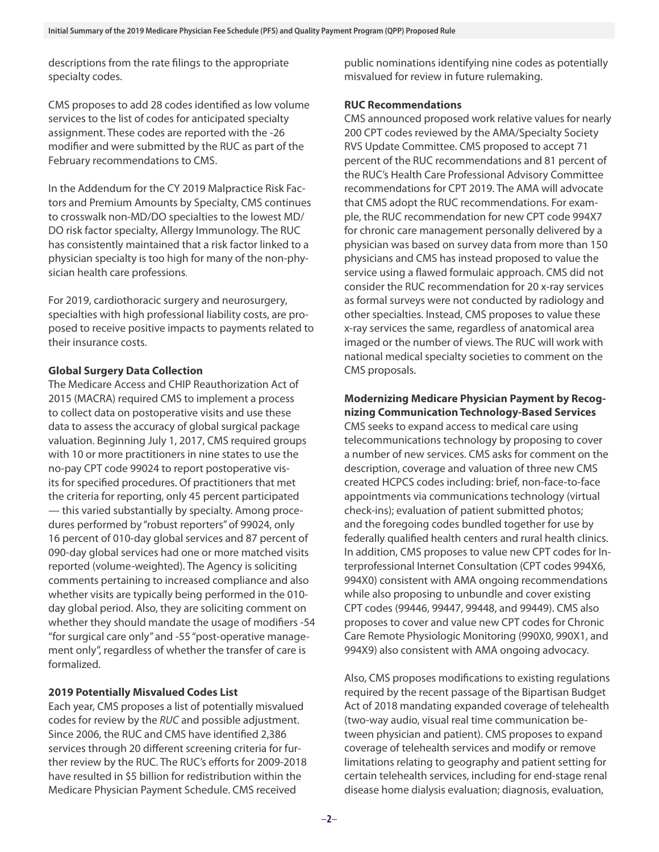descriptions from the rate filings to the appropriate specialty codes.

CMS proposes to add 28 codes identified as low volume services to the list of codes for anticipated specialty assignment. These codes are reported with the -26 modifier and were submitted by the RUC as part of the February recommendations to CMS.

In the Addendum for the CY 2019 Malpractice Risk Factors and Premium Amounts by Specialty, CMS continues to crosswalk non-MD/DO specialties to the lowest MD/ DO risk factor specialty, Allergy Immunology. The RUC has consistently maintained that a risk factor linked to a physician specialty is too high for many of the non-physician health care professions.

For 2019, cardiothoracic surgery and neurosurgery, specialties with high professional liability costs, are proposed to receive positive impacts to payments related to their insurance costs.

## **Global Surgery Data Collection**

The Medicare Access and CHIP Reauthorization Act of 2015 (MACRA) required CMS to implement a process to collect data on postoperative visits and use these data to assess the accuracy of global surgical package valuation. Beginning July 1, 2017, CMS required groups with 10 or more practitioners in nine states to use the no-pay CPT code 99024 to report postoperative visits for specified procedures. Of practitioners that met the criteria for reporting, only 45 percent participated — this varied substantially by specialty. Among procedures performed by "robust reporters" of 99024, only 16 percent of 010-day global services and 87 percent of 090-day global services had one or more matched visits reported (volume-weighted). The Agency is soliciting comments pertaining to increased compliance and also whether visits are typically being performed in the 010 day global period. Also, they are soliciting comment on whether they should mandate the usage of modifiers -54 "for surgical care only" and -55 "post-operative management only", regardless of whether the transfer of care is formalized.

# **2019 Potentially Misvalued Codes List**

Each year, CMS proposes a list of potentially misvalued codes for review by the *RUC* and possible adjustment. Since 2006, the RUC and CMS have identified 2,386 services through 20 different screening criteria for further review by the RUC. The RUC's efforts for 2009-2018 have resulted in \$5 billion for redistribution within the Medicare Physician Payment Schedule. CMS received

public nominations identifying nine codes as potentially misvalued for review in future rulemaking.

## **RUC Recommendations**

CMS announced proposed work relative values for nearly 200 CPT codes reviewed by the AMA/Specialty Society RVS Update Committee. CMS proposed to accept 71 percent of the RUC recommendations and 81 percent of the RUC's Health Care Professional Advisory Committee recommendations for CPT 2019. The AMA will advocate that CMS adopt the RUC recommendations. For example, the RUC recommendation for new CPT code 994X7 for chronic care management personally delivered by a physician was based on survey data from more than 150 physicians and CMS has instead proposed to value the service using a flawed formulaic approach. CMS did not consider the RUC recommendation for 20 x-ray services as formal surveys were not conducted by radiology and other specialties. Instead, CMS proposes to value these x-ray services the same, regardless of anatomical area imaged or the number of views. The RUC will work with national medical specialty societies to comment on the CMS proposals.

# **Modernizing Medicare Physician Payment by Recognizing Communication Technology-Based Services**

CMS seeks to expand access to medical care using telecommunications technology by proposing to cover a number of new services. CMS asks for comment on the description, coverage and valuation of three new CMS created HCPCS codes including: brief, non-face-to-face appointments via communications technology (virtual check-ins); evaluation of patient submitted photos; and the foregoing codes bundled together for use by federally qualified health centers and rural health clinics. In addition, CMS proposes to value new CPT codes for Interprofessional Internet Consultation (CPT codes 994X6, 994X0) consistent with AMA ongoing recommendations while also proposing to unbundle and cover existing CPT codes (99446, 99447, 99448, and 99449). CMS also proposes to cover and value new CPT codes for Chronic Care Remote Physiologic Monitoring (990X0, 990X1, and 994X9) also consistent with AMA ongoing advocacy.

Also, CMS proposes modifications to existing regulations required by the recent passage of the Bipartisan Budget Act of 2018 mandating expanded coverage of telehealth (two-way audio, visual real time communication between physician and patient). CMS proposes to expand coverage of telehealth services and modify or remove limitations relating to geography and patient setting for certain telehealth services, including for end-stage renal disease home dialysis evaluation; diagnosis, evaluation,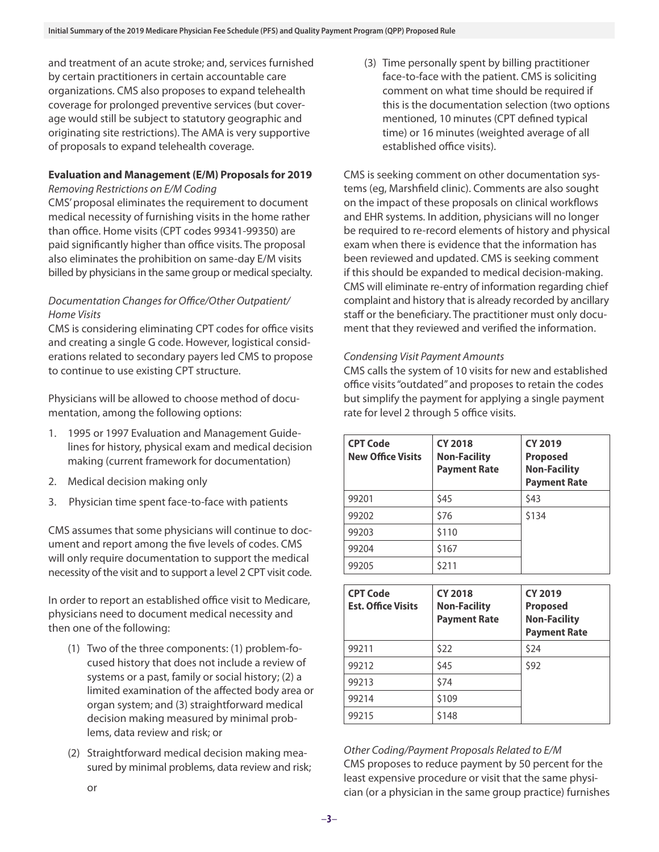and treatment of an acute stroke; and, services furnished by certain practitioners in certain accountable care organizations. CMS also proposes to expand telehealth coverage for prolonged preventive services (but coverage would still be subject to statutory geographic and originating site restrictions). The AMA is very supportive of proposals to expand telehealth coverage.

# **Evaluation and Management (E/M) Proposals for 2019**

# *Removing Restrictions on E/M Coding*

CMS' proposal eliminates the requirement to document medical necessity of furnishing visits in the home rather than office. Home visits (CPT codes 99341-99350) are paid significantly higher than office visits. The proposal also eliminates the prohibition on same-day E/M visits billed by physicians in the same group or medical specialty.

# *Documentation Changes for Office/Other Outpatient/ Home Visits*

CMS is considering eliminating CPT codes for office visits and creating a single G code. However, logistical considerations related to secondary payers led CMS to propose to continue to use existing CPT structure.

Physicians will be allowed to choose method of documentation, among the following options:

- 1. 1995 or 1997 Evaluation and Management Guidelines for history, physical exam and medical decision making (current framework for documentation)
- 2. Medical decision making only
- 3. Physician time spent face-to-face with patients

CMS assumes that some physicians will continue to document and report among the five levels of codes. CMS will only require documentation to support the medical necessity of the visit and to support a level 2 CPT visit code.

In order to report an established office visit to Medicare, physicians need to document medical necessity and then one of the following:

- (1) Two of the three components: (1) problem-focused history that does not include a review of systems or a past, family or social history; (2) a limited examination of the affected body area or organ system; and (3) straightforward medical decision making measured by minimal problems, data review and risk; or
- (2) Straightforward medical decision making measured by minimal problems, data review and risk;

(3) Time personally spent by billing practitioner face-to-face with the patient. CMS is soliciting comment on what time should be required if this is the documentation selection (two options mentioned, 10 minutes (CPT defined typical time) or 16 minutes (weighted average of all established office visits).

CMS is seeking comment on other documentation systems (eg, Marshfield clinic). Comments are also sought on the impact of these proposals on clinical workflows and EHR systems. In addition, physicians will no longer be required to re-record elements of history and physical exam when there is evidence that the information has been reviewed and updated. CMS is seeking comment if this should be expanded to medical decision-making. CMS will eliminate re-entry of information regarding chief complaint and history that is already recorded by ancillary staff or the beneficiary. The practitioner must only document that they reviewed and verified the information.

# *Condensing Visit Payment Amounts*

CMS calls the system of 10 visits for new and established office visits "outdated" and proposes to retain the codes but simplify the payment for applying a single payment rate for level 2 through 5 office visits.

| <b>CPT Code</b><br><b>New Office Visits</b> | <b>CY 2018</b><br><b>Non-Facility</b><br><b>Payment Rate</b> | <b>CY 2019</b><br><b>Proposed</b><br><b>Non-Facility</b><br><b>Payment Rate</b> |
|---------------------------------------------|--------------------------------------------------------------|---------------------------------------------------------------------------------|
| 99201                                       | \$45                                                         | \$43                                                                            |
| 99202                                       | \$76                                                         | \$134                                                                           |
| 99203                                       | \$110                                                        |                                                                                 |
| 99204                                       | \$167                                                        |                                                                                 |
| 99205                                       | \$211                                                        |                                                                                 |

| <b>CPT Code</b><br><b>Est. Office Visits</b> | <b>CY 2018</b><br><b>Non-Facility</b><br><b>Payment Rate</b> | <b>CY 2019</b><br><b>Proposed</b><br><b>Non-Facility</b><br><b>Payment Rate</b> |
|----------------------------------------------|--------------------------------------------------------------|---------------------------------------------------------------------------------|
| 99211                                        | \$22                                                         | \$24                                                                            |
| 99212                                        | \$45                                                         | \$92                                                                            |
| 99213                                        | \$74                                                         |                                                                                 |
| 99214                                        | \$109                                                        |                                                                                 |
| 99215                                        | \$148                                                        |                                                                                 |

*Other Coding/Payment Proposals Related to E/M* CMS proposes to reduce payment by 50 percent for the least expensive procedure or visit that the same physician (or a physician in the same group practice) furnishes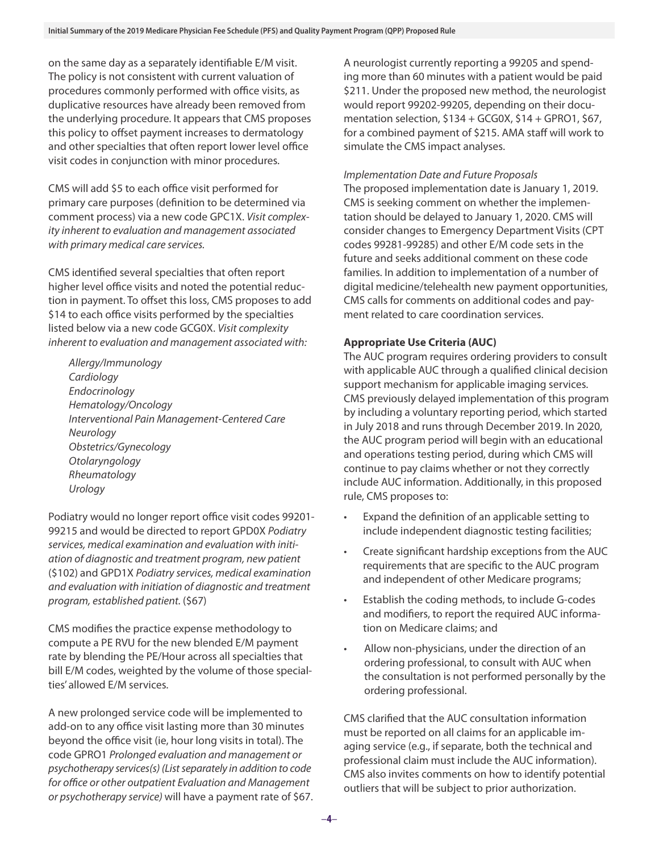on the same day as a separately identifiable E/M visit. The policy is not consistent with current valuation of procedures commonly performed with office visits, as duplicative resources have already been removed from the underlying procedure. It appears that CMS proposes this policy to offset payment increases to dermatology and other specialties that often report lower level office visit codes in conjunction with minor procedures.

CMS will add \$5 to each office visit performed for primary care purposes (definition to be determined via comment process) via a new code GPC1X. *Visit complexity inherent to evaluation and management associated with primary medical care services.*

CMS identified several specialties that often report higher level office visits and noted the potential reduction in payment. To offset this loss, CMS proposes to add \$14 to each office visits performed by the specialties listed below via a new code GCG0X. *Visit complexity inherent to evaluation and management associated with:*

*Allergy/Immunology Cardiology Endocrinology Hematology/Oncology Interventional Pain Management-Centered Care Neurology Obstetrics/Gynecology Otolaryngology Rheumatology Urology*

Podiatry would no longer report office visit codes 99201- 99215 and would be directed to report GPD0X *Podiatry services, medical examination and evaluation with initiation of diagnostic and treatment program, new patient*  (\$102) and GPD1X *Podiatry services, medical examination and evaluation with initiation of diagnostic and treatment program, established patient.* (\$67)

CMS modifies the practice expense methodology to compute a PE RVU for the new blended E/M payment rate by blending the PE/Hour across all specialties that bill E/M codes, weighted by the volume of those specialties' allowed E/M services.

A new prolonged service code will be implemented to add-on to any office visit lasting more than 30 minutes beyond the office visit (ie, hour long visits in total). The code GPRO1 *Prolonged evaluation and management or psychotherapy services(s) (List separately in addition to code for office or other outpatient Evaluation and Management or psychotherapy service)* will have a payment rate of \$67. A neurologist currently reporting a 99205 and spending more than 60 minutes with a patient would be paid \$211. Under the proposed new method, the neurologist would report 99202-99205, depending on their documentation selection,  $$134 + GCG0X$ ,  $$14 + GPRO1$ ,  $$67$ , for a combined payment of \$215. AMA staff will work to simulate the CMS impact analyses.

## *Implementation Date and Future Proposals*

The proposed implementation date is January 1, 2019. CMS is seeking comment on whether the implementation should be delayed to January 1, 2020. CMS will consider changes to Emergency Department Visits (CPT codes 99281-99285) and other E/M code sets in the future and seeks additional comment on these code families. In addition to implementation of a number of digital medicine/telehealth new payment opportunities, CMS calls for comments on additional codes and payment related to care coordination services.

# **Appropriate Use Criteria (AUC)**

The AUC program requires ordering providers to consult with applicable AUC through a qualified clinical decision support mechanism for applicable imaging services. CMS previously delayed implementation of this program by including a voluntary reporting period, which started in July 2018 and runs through December 2019. In 2020, the AUC program period will begin with an educational and operations testing period, during which CMS will continue to pay claims whether or not they correctly include AUC information. Additionally, in this proposed rule, CMS proposes to:

- Expand the definition of an applicable setting to include independent diagnostic testing facilities;
- Create significant hardship exceptions from the AUC requirements that are specific to the AUC program and independent of other Medicare programs;
- Establish the coding methods, to include G-codes and modifiers, to report the required AUC information on Medicare claims; and
- Allow non-physicians, under the direction of an ordering professional, to consult with AUC when the consultation is not performed personally by the ordering professional.

CMS clarified that the AUC consultation information must be reported on all claims for an applicable imaging service (e.g., if separate, both the technical and professional claim must include the AUC information). CMS also invites comments on how to identify potential outliers that will be subject to prior authorization.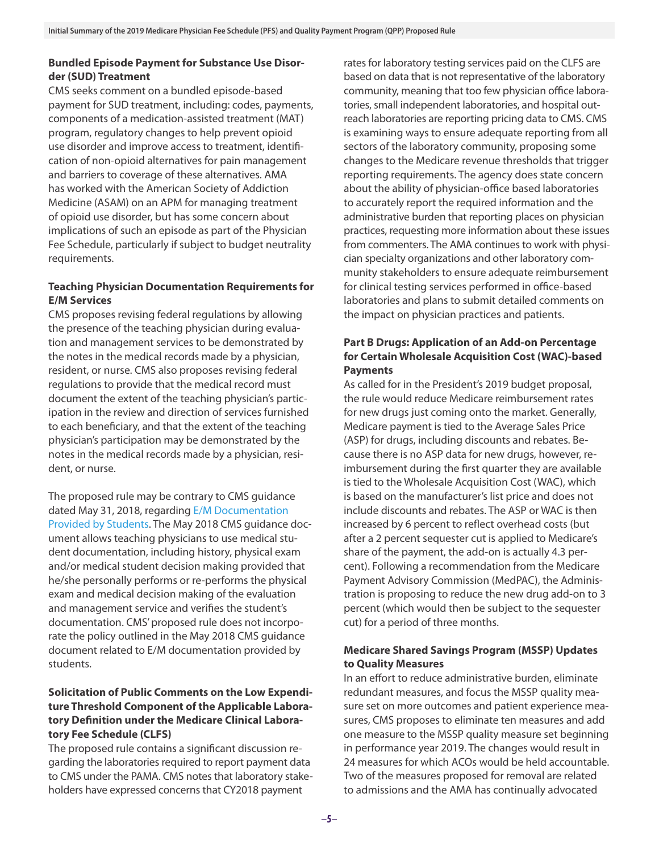# **Bundled Episode Payment for Substance Use Disorder (SUD) Treatment**

CMS seeks comment on a bundled episode-based payment for SUD treatment, including: codes, payments, components of a medication-assisted treatment (MAT) program, regulatory changes to help prevent opioid use disorder and improve access to treatment, identification of non-opioid alternatives for pain management and barriers to coverage of these alternatives. AMA has worked with the American Society of Addiction Medicine (ASAM) on an APM for managing treatment of opioid use disorder, but has some concern about implications of such an episode as part of the Physician Fee Schedule, particularly if subject to budget neutrality requirements.

# **Teaching Physician Documentation Requirements for E/M Services**

CMS proposes revising federal regulations by allowing the presence of the teaching physician during evaluation and management services to be demonstrated by the notes in the medical records made by a physician, resident, or nurse. CMS also proposes revising federal regulations to provide that the medical record must document the extent of the teaching physician's participation in the review and direction of services furnished to each beneficiary, and that the extent of the teaching physician's participation may be demonstrated by the notes in the medical records made by a physician, resident, or nurse.

The proposed rule may be contrary to CMS guidance dated May 31, 2018, regarding [E/M Documentation](https://www.cms.gov/Regulations-and-Guidance/Guidance/Transmittals/2018Downloads/R4068CP.pdf)  [Provided by Students](https://www.cms.gov/Regulations-and-Guidance/Guidance/Transmittals/2018Downloads/R4068CP.pdf). The May 2018 CMS guidance document allows teaching physicians to use medical student documentation, including history, physical exam and/or medical student decision making provided that he/she personally performs or re-performs the physical exam and medical decision making of the evaluation and management service and verifies the student's documentation. CMS' proposed rule does not incorporate the policy outlined in the May 2018 CMS guidance document related to E/M documentation provided by students.

# **Solicitation of Public Comments on the Low Expenditure Threshold Component of the Applicable Laboratory Definition under the Medicare Clinical Laboratory Fee Schedule (CLFS)**

The proposed rule contains a significant discussion regarding the laboratories required to report payment data to CMS under the PAMA. CMS notes that laboratory stakeholders have expressed concerns that CY2018 payment

rates for laboratory testing services paid on the CLFS are based on data that is not representative of the laboratory community, meaning that too few physician office laboratories, small independent laboratories, and hospital outreach laboratories are reporting pricing data to CMS. CMS is examining ways to ensure adequate reporting from all sectors of the laboratory community, proposing some changes to the Medicare revenue thresholds that trigger reporting requirements. The agency does state concern about the ability of physician-office based laboratories to accurately report the required information and the administrative burden that reporting places on physician practices, requesting more information about these issues from commenters. The AMA continues to work with physician specialty organizations and other laboratory community stakeholders to ensure adequate reimbursement for clinical testing services performed in office-based laboratories and plans to submit detailed comments on the impact on physician practices and patients.

# **Part B Drugs: Application of an Add-on Percentage for Certain Wholesale Acquisition Cost (WAC)-based Payments**

As called for in the President's 2019 budget proposal, the rule would reduce Medicare reimbursement rates for new drugs just coming onto the market. Generally, Medicare payment is tied to the Average Sales Price (ASP) for drugs, including discounts and rebates. Because there is no ASP data for new drugs, however, reimbursement during the first quarter they are available is tied to the Wholesale Acquisition Cost (WAC), which is based on the manufacturer's list price and does not include discounts and rebates. The ASP or WAC is then increased by 6 percent to reflect overhead costs (but after a 2 percent sequester cut is applied to Medicare's share of the payment, the add-on is actually 4.3 percent). Following a recommendation from the Medicare Payment Advisory Commission (MedPAC), the Administration is proposing to reduce the new drug add-on to 3 percent (which would then be subject to the sequester cut) for a period of three months.

# **Medicare Shared Savings Program (MSSP) Updates to Quality Measures**

In an effort to reduce administrative burden, eliminate redundant measures, and focus the MSSP quality measure set on more outcomes and patient experience measures, CMS proposes to eliminate ten measures and add one measure to the MSSP quality measure set beginning in performance year 2019. The changes would result in 24 measures for which ACOs would be held accountable. Two of the measures proposed for removal are related to admissions and the AMA has continually advocated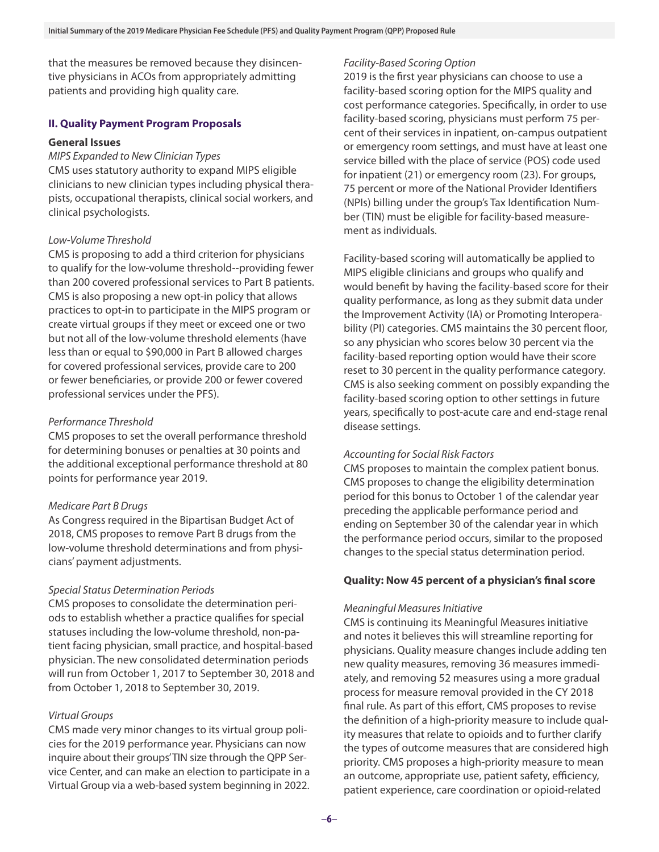that the measures be removed because they disincentive physicians in ACOs from appropriately admitting patients and providing high quality care.

#### **II. Quality Payment Program Proposals**

## **General Issues**

*MIPS Expanded to New Clinician Types*  CMS uses statutory authority to expand MIPS eligible clinicians to new clinician types including physical therapists, occupational therapists, clinical social workers, and clinical psychologists.

#### *Low-Volume Threshold*

CMS is proposing to add a third criterion for physicians to qualify for the low-volume threshold--providing fewer than 200 covered professional services to Part B patients. CMS is also proposing a new opt-in policy that allows practices to opt-in to participate in the MIPS program or create virtual groups if they meet or exceed one or two but not all of the low-volume threshold elements (have less than or equal to \$90,000 in Part B allowed charges for covered professional services, provide care to 200 or fewer beneficiaries, or provide 200 or fewer covered professional services under the PFS).

#### *Performance Threshold*

CMS proposes to set the overall performance threshold for determining bonuses or penalties at 30 points and the additional exceptional performance threshold at 80 points for performance year 2019.

#### *Medicare Part B Drugs*

As Congress required in the Bipartisan Budget Act of 2018, CMS proposes to remove Part B drugs from the low-volume threshold determinations and from physicians' payment adjustments.

#### *Special Status Determination Periods*

CMS proposes to consolidate the determination periods to establish whether a practice qualifies for special statuses including the low-volume threshold, non-patient facing physician, small practice, and hospital-based physician. The new consolidated determination periods will run from October 1, 2017 to September 30, 2018 and from October 1, 2018 to September 30, 2019.

#### *Virtual Groups*

CMS made very minor changes to its virtual group policies for the 2019 performance year. Physicians can now inquire about their groups' TIN size through the QPP Service Center, and can make an election to participate in a Virtual Group via a web-based system beginning in 2022.

#### *Facility-Based Scoring Option*

2019 is the first year physicians can choose to use a facility-based scoring option for the MIPS quality and cost performance categories. Specifically, in order to use facility-based scoring, physicians must perform 75 percent of their services in inpatient, on-campus outpatient or emergency room settings, and must have at least one service billed with the place of service (POS) code used for inpatient (21) or emergency room (23). For groups, 75 percent or more of the National Provider Identifiers (NPIs) billing under the group's Tax Identification Number (TIN) must be eligible for facility-based measurement as individuals.

Facility-based scoring will automatically be applied to MIPS eligible clinicians and groups who qualify and would benefit by having the facility-based score for their quality performance, as long as they submit data under the Improvement Activity (IA) or Promoting Interoperability (PI) categories. CMS maintains the 30 percent floor, so any physician who scores below 30 percent via the facility-based reporting option would have their score reset to 30 percent in the quality performance category. CMS is also seeking comment on possibly expanding the facility-based scoring option to other settings in future years, specifically to post-acute care and end-stage renal disease settings.

#### *Accounting for Social Risk Factors*

CMS proposes to maintain the complex patient bonus. CMS proposes to change the eligibility determination period for this bonus to October 1 of the calendar year preceding the applicable performance period and ending on September 30 of the calendar year in which the performance period occurs, similar to the proposed changes to the special status determination period.

## **Quality: Now 45 percent of a physician's final score**

#### *Meaningful Measures Initiative*

CMS is continuing its Meaningful Measures initiative and notes it believes this will streamline reporting for physicians. Quality measure changes include adding ten new quality measures, removing 36 measures immediately, and removing 52 measures using a more gradual process for measure removal provided in the CY 2018 final rule. As part of this effort, CMS proposes to revise the definition of a high-priority measure to include quality measures that relate to opioids and to further clarify the types of outcome measures that are considered high priority. CMS proposes a high-priority measure to mean an outcome, appropriate use, patient safety, efficiency, patient experience, care coordination or opioid-related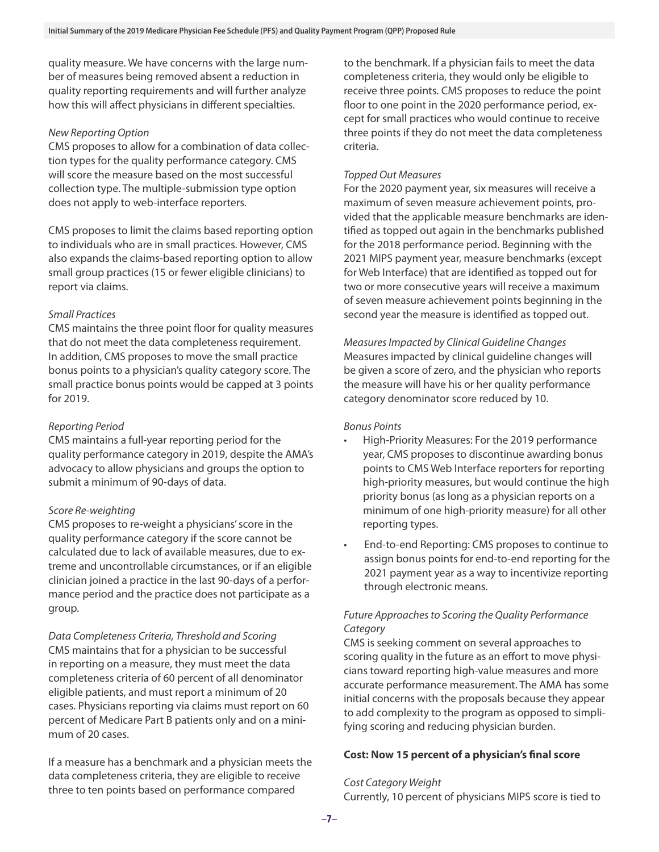quality measure. We have concerns with the large number of measures being removed absent a reduction in quality reporting requirements and will further analyze how this will affect physicians in different specialties.

## *New Reporting Option*

CMS proposes to allow for a combination of data collection types for the quality performance category. CMS will score the measure based on the most successful collection type. The multiple-submission type option does not apply to web-interface reporters.

CMS proposes to limit the claims based reporting option to individuals who are in small practices. However, CMS also expands the claims-based reporting option to allow small group practices (15 or fewer eligible clinicians) to report via claims.

## *Small Practices*

CMS maintains the three point floor for quality measures that do not meet the data completeness requirement. In addition, CMS proposes to move the small practice bonus points to a physician's quality category score. The small practice bonus points would be capped at 3 points for 2019.

# *Reporting Period*

CMS maintains a full-year reporting period for the quality performance category in 2019, despite the AMA's advocacy to allow physicians and groups the option to submit a minimum of 90-days of data.

#### *Score Re-weighting*

CMS proposes to re-weight a physicians' score in the quality performance category if the score cannot be calculated due to lack of available measures, due to extreme and uncontrollable circumstances, or if an eligible clinician joined a practice in the last 90-days of a performance period and the practice does not participate as a group.

*Data Completeness Criteria, Threshold and Scoring* CMS maintains that for a physician to be successful in reporting on a measure, they must meet the data completeness criteria of 60 percent of all denominator eligible patients, and must report a minimum of 20 cases. Physicians reporting via claims must report on 60 percent of Medicare Part B patients only and on a minimum of 20 cases.

If a measure has a benchmark and a physician meets the data completeness criteria, they are eligible to receive three to ten points based on performance compared

to the benchmark. If a physician fails to meet the data completeness criteria, they would only be eligible to receive three points. CMS proposes to reduce the point floor to one point in the 2020 performance period, except for small practices who would continue to receive three points if they do not meet the data completeness criteria.

## *Topped Out Measures*

For the 2020 payment year, six measures will receive a maximum of seven measure achievement points, provided that the applicable measure benchmarks are identified as topped out again in the benchmarks published for the 2018 performance period. Beginning with the 2021 MIPS payment year, measure benchmarks (except for Web Interface) that are identified as topped out for two or more consecutive years will receive a maximum of seven measure achievement points beginning in the second year the measure is identified as topped out.

*Measures Impacted by Clinical Guideline Changes*  Measures impacted by clinical guideline changes will be given a score of zero, and the physician who reports the measure will have his or her quality performance category denominator score reduced by 10.

## *Bonus Points*

- High-Priority Measures: For the 2019 performance year, CMS proposes to discontinue awarding bonus points to CMS Web Interface reporters for reporting high-priority measures, but would continue the high priority bonus (as long as a physician reports on a minimum of one high-priority measure) for all other reporting types.
- End-to-end Reporting: CMS proposes to continue to assign bonus points for end-to-end reporting for the 2021 payment year as a way to incentivize reporting through electronic means.

# *Future Approaches to Scoring the Quality Performance Category*

CMS is seeking comment on several approaches to scoring quality in the future as an effort to move physicians toward reporting high-value measures and more accurate performance measurement. The AMA has some initial concerns with the proposals because they appear to add complexity to the program as opposed to simplifying scoring and reducing physician burden.

# **Cost: Now 15 percent of a physician's final score**

#### *Cost Category Weight*  Currently, 10 percent of physicians MIPS score is tied to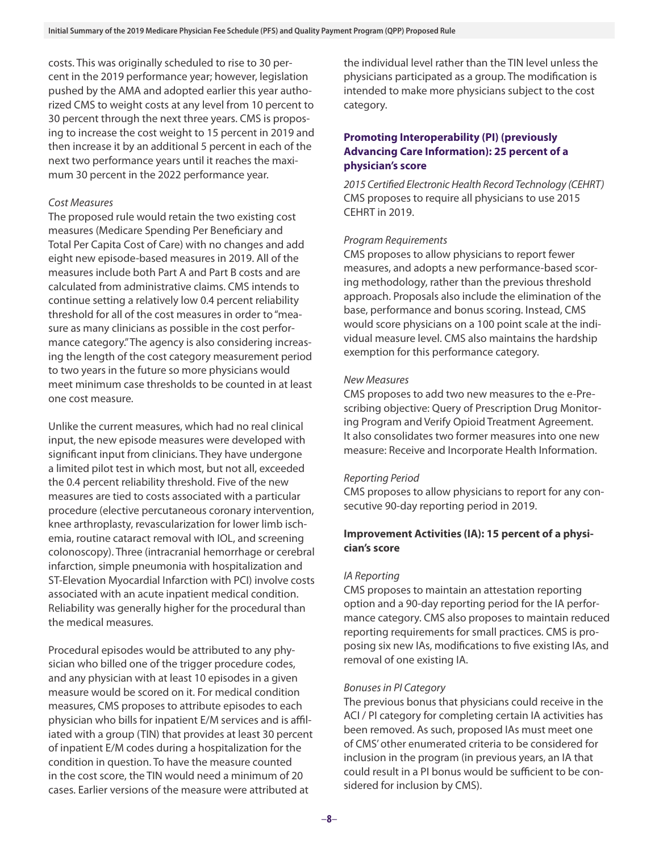costs. This was originally scheduled to rise to 30 percent in the 2019 performance year; however, legislation pushed by the AMA and adopted earlier this year authorized CMS to weight costs at any level from 10 percent to 30 percent through the next three years. CMS is proposing to increase the cost weight to 15 percent in 2019 and then increase it by an additional 5 percent in each of the next two performance years until it reaches the maximum 30 percent in the 2022 performance year.

## *Cost Measures*

The proposed rule would retain the two existing cost measures (Medicare Spending Per Beneficiary and Total Per Capita Cost of Care) with no changes and add eight new episode-based measures in 2019. All of the measures include both Part A and Part B costs and are calculated from administrative claims. CMS intends to continue setting a relatively low 0.4 percent reliability threshold for all of the cost measures in order to "measure as many clinicians as possible in the cost performance category." The agency is also considering increasing the length of the cost category measurement period to two years in the future so more physicians would meet minimum case thresholds to be counted in at least one cost measure.

Unlike the current measures, which had no real clinical input, the new episode measures were developed with significant input from clinicians. They have undergone a limited pilot test in which most, but not all, exceeded the 0.4 percent reliability threshold. Five of the new measures are tied to costs associated with a particular procedure (elective percutaneous coronary intervention, knee arthroplasty, revascularization for lower limb ischemia, routine cataract removal with IOL, and screening colonoscopy). Three (intracranial hemorrhage or cerebral infarction, simple pneumonia with hospitalization and ST-Elevation Myocardial Infarction with PCI) involve costs associated with an acute inpatient medical condition. Reliability was generally higher for the procedural than the medical measures.

Procedural episodes would be attributed to any physician who billed one of the trigger procedure codes, and any physician with at least 10 episodes in a given measure would be scored on it. For medical condition measures, CMS proposes to attribute episodes to each physician who bills for inpatient E/M services and is affiliated with a group (TIN) that provides at least 30 percent of inpatient E/M codes during a hospitalization for the condition in question. To have the measure counted in the cost score, the TIN would need a minimum of 20 cases. Earlier versions of the measure were attributed at

the individual level rather than the TIN level unless the physicians participated as a group. The modification is intended to make more physicians subject to the cost category.

# **Promoting Interoperability (PI) (previously Advancing Care Information): 25 percent of a physician's score**

*2015 Certified Electronic Health Record Technology (CEHRT)* CMS proposes to require all physicians to use 2015 CEHRT in 2019.

## *Program Requirements*

CMS proposes to allow physicians to report fewer measures, and adopts a new performance-based scoring methodology, rather than the previous threshold approach. Proposals also include the elimination of the base, performance and bonus scoring. Instead, CMS would score physicians on a 100 point scale at the individual measure level. CMS also maintains the hardship exemption for this performance category.

## *New Measures*

CMS proposes to add two new measures to the e-Prescribing objective: Query of Prescription Drug Monitoring Program and Verify Opioid Treatment Agreement. It also consolidates two former measures into one new measure: Receive and Incorporate Health Information.

#### *Reporting Period*

CMS proposes to allow physicians to report for any consecutive 90-day reporting period in 2019.

# **Improvement Activities (IA): 15 percent of a physician's score**

#### *IA Reporting*

CMS proposes to maintain an attestation reporting option and a 90-day reporting period for the IA performance category. CMS also proposes to maintain reduced reporting requirements for small practices. CMS is proposing six new IAs, modifications to five existing IAs, and removal of one existing IA.

#### *Bonuses in PI Category*

The previous bonus that physicians could receive in the ACI / PI category for completing certain IA activities has been removed. As such, proposed IAs must meet one of CMS' other enumerated criteria to be considered for inclusion in the program (in previous years, an IA that could result in a PI bonus would be sufficient to be considered for inclusion by CMS).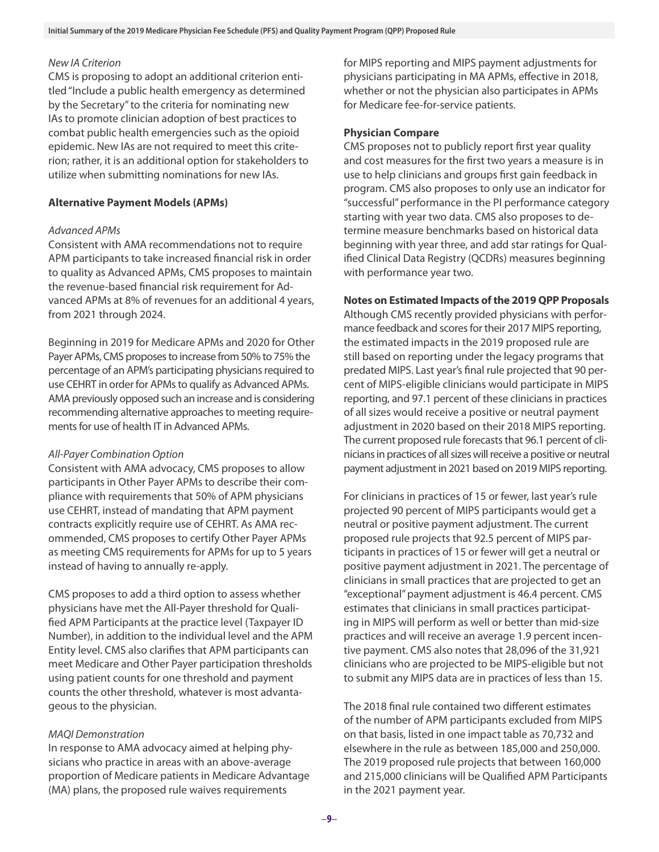# *New IA Criterion*

CMS is proposing to adopt an additional criterion entitled "Include a public health emergency as determined by the Secretary" to the criteria for nominating new IAs to promote clinician adoption of best practices to combat public health emergencies such as the opioid epidemic. New IAs are not required to meet this criterion; rather, it is an additional option for stakeholders to utilize when submitting nominations for new IAs.

#### **Alternative Payment Models (APMs)**

#### *Advanced APMs*

Consistent with AMA recommendations not to require APM participants to take increased financial risk in order to quality as Advanced APMs, CMS proposes to maintain the revenue-based financial risk requirement for Advanced APMs at 8% of revenues for an additional 4 years, from 2021 through 2024.

Beginning in 2019 for Medicare APMs and 2020 for Other Payer APMs, CMS proposes to increase from 50% to 75% the percentage of an APM's participating physicians required to use CEHRT in order for APMs to qualify as Advanced APMs. AMA previously opposed such an increase and is considering recommending alternative approaches to meeting requirements for use of health IT in Advanced APMs.

#### *All-Payer Combination Option*

Consistent with AMA advocacy, CMS proposes to allow participants in Other Payer APMs to describe their compliance with requirements that 50% of APM physicians use CEHRT, instead of mandating that APM payment contracts explicitly require use of CEHRT. As AMA recommended, CMS proposes to certify Other Payer APMs as meeting CMS requirements for APMs for up to 5 years instead of having to annually re-apply.

CMS proposes to add a third option to assess whether physicians have met the All-Payer threshold for Qualified APM Participants at the practice level (Taxpayer ID Number), in addition to the individual level and the APM Entity level. CMS also clarifies that APM participants can meet Medicare and Other Payer participation thresholds using patient counts for one threshold and payment counts the other threshold, whatever is most advantageous to the physician.

#### *MAQI Demonstration*

In response to AMA advocacy aimed at helping physicians who practice in areas with an above-average proportion of Medicare patients in Medicare Advantage (MA) plans, the proposed rule waives requirements

for MIPS reporting and MIPS payment adjustments for physicians participating in MA APMs, effective in 2018, whether or not the physician also participates in APMs for Medicare fee-for-service patients.

## **Physician Compare**

CMS proposes not to publicly report first year quality and cost measures for the first two years a measure is in use to help clinicians and groups first gain feedback in program. CMS also proposes to only use an indicator for "successful" performance in the PI performance category starting with year two data. CMS also proposes to determine measure benchmarks based on historical data beginning with year three, and add star ratings for Qualified Clinical Data Registry (QCDRs) measures beginning with performance year two.

## **Notes on Estimated Impacts of the 2019 QPP Proposals**

Although CMS recently provided physicians with performance feedback and scores for their 2017 MIPS reporting, the estimated impacts in the 2019 proposed rule are still based on reporting under the legacy programs that predated MIPS. Last year's final rule projected that 90 percent of MIPS-eligible clinicians would participate in MIPS reporting, and 97.1 percent of these clinicians in practices of all sizes would receive a positive or neutral payment adjustment in 2020 based on their 2018 MIPS reporting. The current proposed rule forecasts that 96.1 percent of clinicians in practices of all sizes will receive a positive or neutral payment adjustment in 2021 based on 2019 MIPS reporting.

For clinicians in practices of 15 or fewer, last year's rule projected 90 percent of MIPS participants would get a neutral or positive payment adjustment. The current proposed rule projects that 92.5 percent of MIPS participants in practices of 15 or fewer will get a neutral or positive payment adjustment in 2021. The percentage of clinicians in small practices that are projected to get an "exceptional" payment adjustment is 46.4 percent. CMS estimates that clinicians in small practices participating in MIPS will perform as well or better than mid-size practices and will receive an average 1.9 percent incentive payment. CMS also notes that 28,096 of the 31,921 clinicians who are projected to be MIPS-eligible but not to submit any MIPS data are in practices of less than 15.

The 2018 final rule contained two different estimates of the number of APM participants excluded from MIPS on that basis, listed in one impact table as 70,732 and elsewhere in the rule as between 185,000 and 250,000. The 2019 proposed rule projects that between 160,000 and 215,000 clinicians will be Qualified APM Participants in the 2021 payment year.